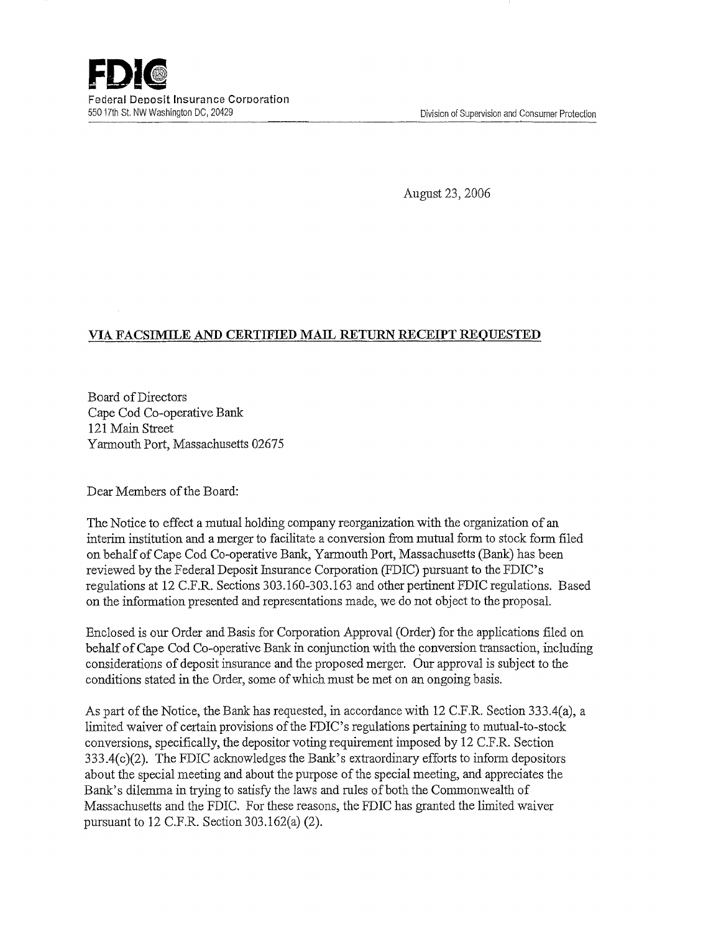August 23, 2006

## VIA FACSIMILE AND CERTIFIED MAIL RETURN RECEIPT REQUESTED

Board of Directors Cape Cod Co-operative Bank 121 Main Street Yarmouth Port, Massachusetts 02675

Dear Members of the Board:

The Notice to effect a mutual holding company reorganization with the organization of an interim institution and a merger to facilitate a conversion from mutual form to stock form filed on behalf of Cape Cod Co-operative Bank, Yarmouth Port, Massachusetts (Bank) has been reviewed by the Federal Deposit Insurance Corporation (FDIC) pursuant to the FDIC's regulations at 12 C.F.R. Sections 303.160-303.163 and other pertinent FDIC regulations. Based on the information presented and representations made, we do not object to the proposal.

Enclosed is our Order and Basis for Corporation Approval (Order) for the applications filed on behalf of Cape Cod Co-operative Bank in conjunction with the conversion transaction, including considerations of deposit insurance and the proposed merger, Our approval is subject to the conditions stated in the Order, some of which must be met on an ongoing basis.

As part of the Notice, the Bank has requested, in accordance with 12 C.F.R. Section 333.4(a), a limited waiver of certain provisions of the FDIC's regulations pertaining to mutual-to-stock conversions, specifically, the depositor voting requirement imposed by 12 C.F.R. Section 333.4(c)(2). The FDIC acknowledges the Bank's extraordinary efforts to inform depositors about the special meeting and about the purpose of the special meeting, and appreciates the Bank's dilemma in trying to satisfy the laws and rules of both the Commonwealth of Massachusetts and the FDIC. For these reasons, the FDIC has granted the limited waiver pursuant to 12 C.F.R. Section 303.162(a) (2).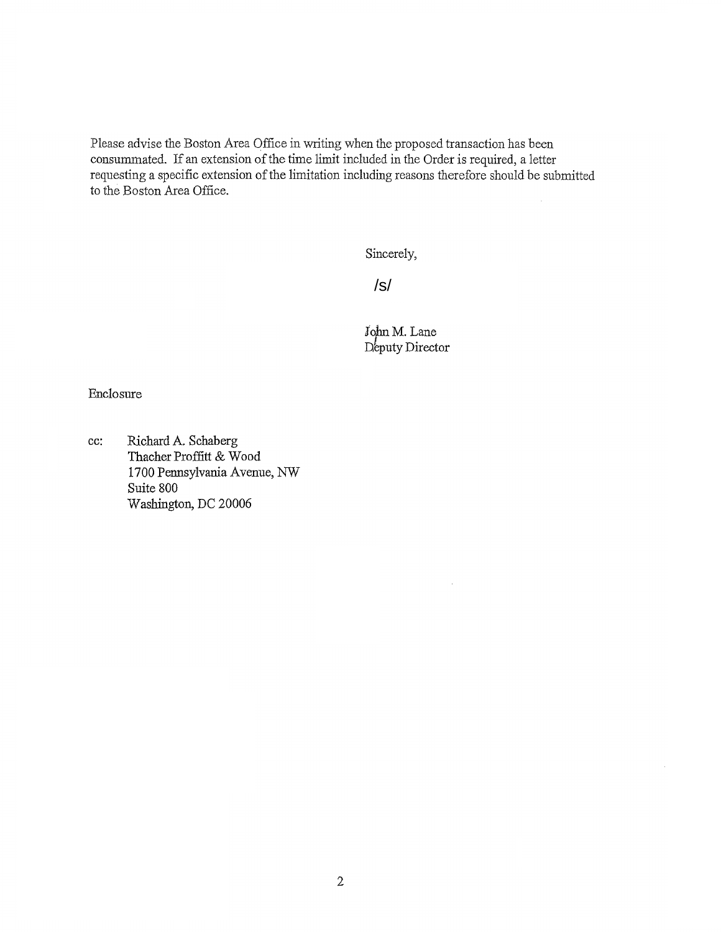Please advise the Boston Area Office in writing when the proposed transaction has been consummated. If an extension of the time limit included in the Order is required, a letter requesting a specific extension of the limitation including reasons therefore should be submitted to the Boston Area Office.

Sincerely,

/s/

John M. Lane Deputy Director

Enclosure

cc: Richard A. Schaberg Thacher Proffitt & Wood 1700 Pennsylvania Avenue, NW Suite 800 Washington, DC 20006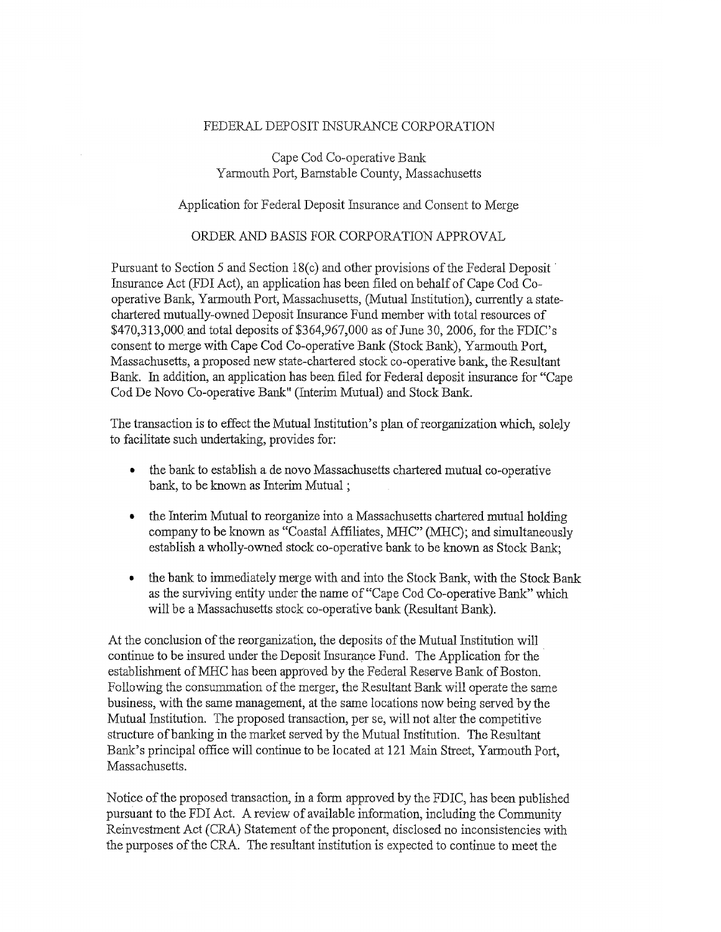## FEDERAL DEPOSIT INSURANCE CORPORATION

Cape Cod Co-operative Bank Yarmouth Port, Barnstable County, Massachusetts

Application for Federal Deposit Insurance and Consent to Merge

## ORDER AND BASIS FOR CORPORATION APPROVAL

Pursuant to Section 5 and Section 18(c) and other provisions of the Federal Deposit Insurance Act (FDI Act), an application has been filed on behalf of Cape Cod Cooperative Bank, Yarmouth Port, Massachusetts, (Mutual Institution), currently a statechartered mutually-owned Deposit Insurance Fund member with total resources of \$470,313,000. and total deposits of \$364,967,000 as of June 30, 2006, for the FDIC's consent to merge with Cape Cod Co-operative Bank (Stock Bank), Yarmouth Port, Massachusetts, a proposed new state-chartered stock co-operative bank, the.Resultant Bank. In addition, an application has been filed for Federal deposit insurance for "Cape Cod De Novo Co-operative Bank" (Interim Mutual) and Stock Bank.

The transaction is to effect the Mutual Institution's plan of reorganization which, solely to facilitate such undertaking, provides for:

- the bank to establish a de novo Massachusetts chartered mutual co-operative bank, to be known as Interim Mutual;
- the Interim Mutual to reorganize into a Massachusetts chartered mutual holding company to be known as "Coastal Affiliates, MHC" (MHC); and simultaneously establish awholly-owned stock co-operative bank to be known as Stock Bank;
- the bank to immediately merge with and into the Stock Bank, with the Stock Bank as the surviving entity under the name of "Cape Cod Co-operative Bank" which will be a Massachusetts stock co-operative bank {Resultant Bank).

At the conclusion of the reorganization, the deposits of the Mutual Institution will continue to be insured under the Deposit Insurance Fund. The Application for the establishment of MHC has been approved by the Federal Reserve Bank of Boston. Following the consummation of the merger, the Resultant Bank will operate the same business, with the same management, at the same locations now being served by the Mutual Institution. The proposed transaction, per se, will not alter the competitive structure of banking in the market served by the Mutual Institution. The Resultant Bank's principal office will continue to be located at 121 Main Street, Yarmouth Port, Massachusetts.

Notice of the proposed transaction, in a form approved by the FDIC, has been published pursuant to fihe FDI Act. A review of available information, including the Community Reinvestment Act (CRA} Statement of the proponent, disclosed no inconsistencies with the purposes of the CRA. The resultant institution is expected to continue to meet the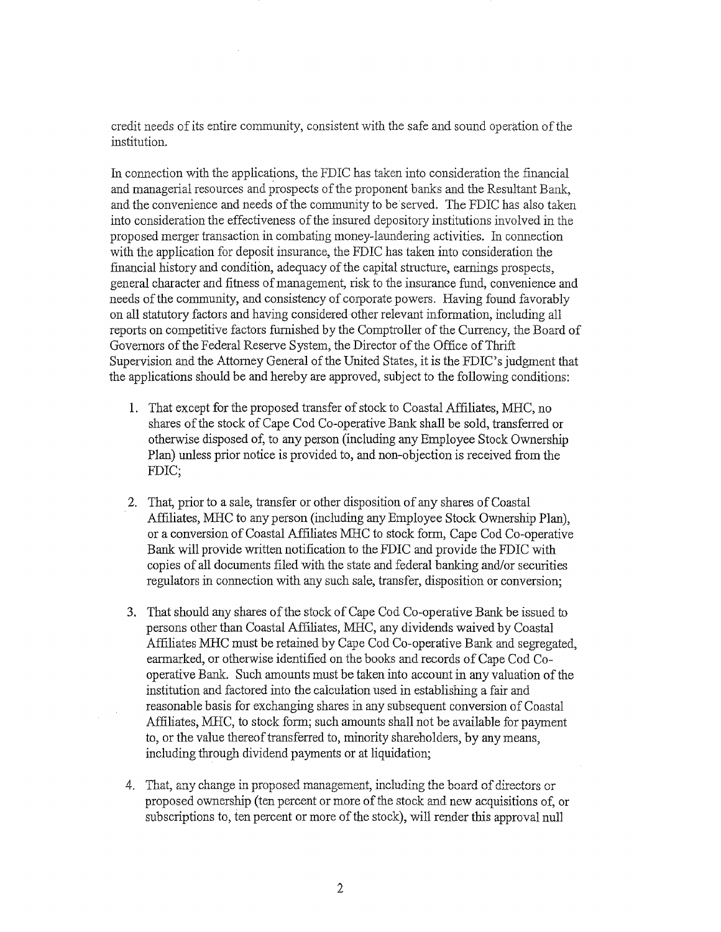credit needs of its entire community, consistent with the safe and sound operation of the institution.

In connection with the applications, the FDIC has taken into consideration the financial and managerial resources and prospects of the proponent banks and the Resultant Bank, and the convenience and needs of the community to be served. The FDIC has also taken into consideration the effectiveness of the insured depository institutions involved in the proposed merger transaction in combating money-laundering activities. In connection with the application for deposit insurance, the FDIC has taken into consideration the financial history and condition, adequacy of the capital structure, earnings prospects, general character and fitness of management, risk to the insurance fund, convenience and needs of the community, and consistency of corporate powers. Having found favorably on all statutory factors and having considered other relevant information, including alI reports on competitive factors furnished by the Comptroller of the Currency, the Board of Governors of the Federal Reserve System, the Director of the Office of Thrift Supervision and the Attorney General of the United States, it is the FDIC's judgment that the applications should be and hereby are approved, subject to the fallowing conditions:

- 1. That except for the proposed transfer of stock to Coastal Affiliates, MHC, no shares of the stock of Cape Cod Co-operative Bank shall be sold, transferred or otherwise disposed of, to any person (including any Employee Stock Ownership Plan) unless prior notice is provided to, and non-objection is received from the FDIC;
- 2. That, prior to a sale, transfer or other disposition of any shares of Coastal Affiliates, MHC to any person (including any Employee Stock Ownership Plan), or a conversion of Coastal Affiliates MHC to stock form, Cape Cod Co-operative Bank will provide written notification to the FDIC and provide the FDIC with copies of all documents filed with the state and federal banking and/or securities regulators in connection with any such sale, transfer, disposition or conversion;
- 3. That should any shares of the stock of Cape Cod Co-operative Bank be issued to persons other than Coastal Affiliates, MHC, any dividends waived by Coastal Affiliates MHC must be retained by Cape Cod Co-operative Bank and segregated, earmarked, or otherwise identified on the hooks and records of Cape Cod Cooperative Bank. Such amounts must be taken into account in any valuation of the institution and factored into the calculation used in establishing a fair and reasonable basis for exchanging shares in any subsequent conversion of Coastal Affiliates, MHC, to stock form; such amounts shall not be available for payment to, or the value thereof transferred to, minority shareholders, by any means, including through dividend payments or at liquidation;
- 4. That, any change in proposed management, including the board of directors or proposed ownership (ten percent or more of the stock and new acquisztions of, ar subscriptions to, ten percent or more of the stock), will render this approval null